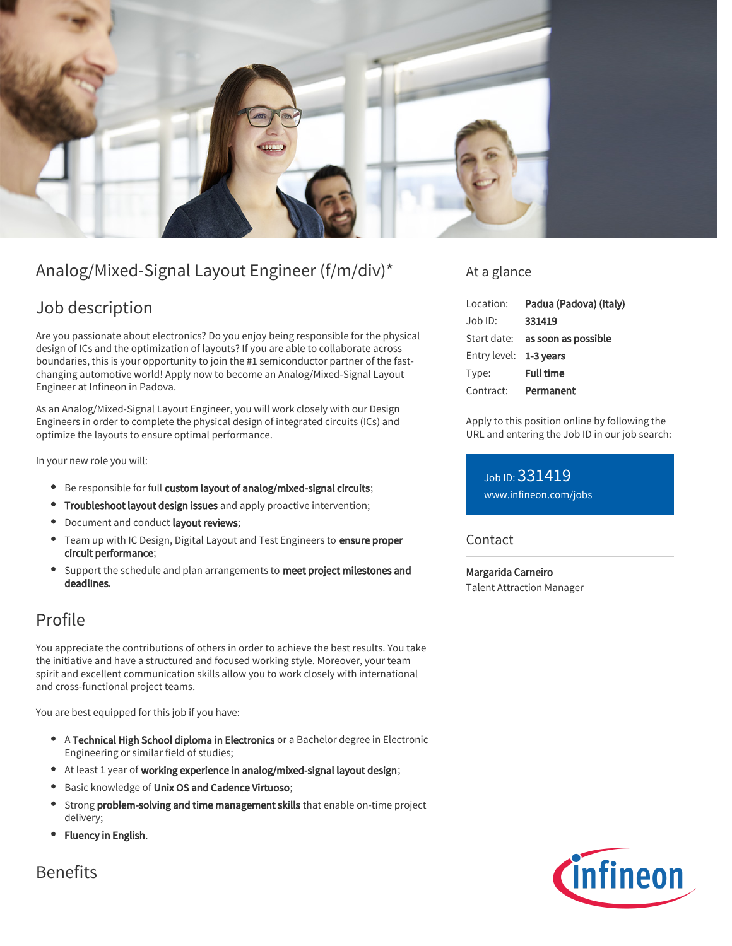

# Analog/Mixed-Signal Layout Engineer (f/m/div)\*

## Job description

Are you passionate about electronics? Do you enjoy being responsible for the physical design of ICs and the optimization of layouts? If you are able to collaborate across boundaries, this is your opportunity to join the #1 semiconductor partner of the fastchanging automotive world! Apply now to become an Analog/Mixed-Signal Layout Engineer at Infineon in Padova.

As an Analog/Mixed-Signal Layout Engineer, you will work closely with our Design Engineers in order to complete the physical design of integrated circuits (ICs) and optimize the layouts to ensure optimal performance.

In your new role you will:

- Be responsible for full custom layout of analog/mixed-signal circuits;
- **Troubleshoot layout design issues** and apply proactive intervention;
- Document and conduct layout reviews;
- Team up with IC Design, Digital Layout and Test Engineers to ensure proper circuit performance;
- Support the schedule and plan arrangements to meet project milestones and  $\bullet$ deadlines.

### Profile

You appreciate the contributions of others in order to achieve the best results. You take the initiative and have a structured and focused working style. Moreover, your team spirit and excellent communication skills allow you to work closely with international and cross-functional project teams.

You are best equipped for this job if you have:

- A Technical High School diploma in Electronics or a Bachelor degree in Electronic Engineering or similar field of studies;
- At least 1 year of working experience in analog/mixed-signal layout design;
- Basic knowledge of Unix OS and Cadence Virtuoso;  $\bullet$
- Strong problem-solving and time management skills that enable on-time project delivery;
- Fluency in English.

### At a glance

| Location:              | Padua (Padova) (Italy)                 |
|------------------------|----------------------------------------|
| Job ID:                | 331419                                 |
|                        | Start date: <b>as soon as possible</b> |
| Entry level: 1-3 years |                                        |
| Type:                  | <b>Full time</b>                       |
| Contract:              | Permanent                              |

Apply to this position online by following the URL and entering the Job ID in our job search:

Job ID: 331419 [www.infineon.com/jobs](https://www.infineon.com/jobs)

#### Contact

Margarida Carneiro Talent Attraction Manager



Benefits